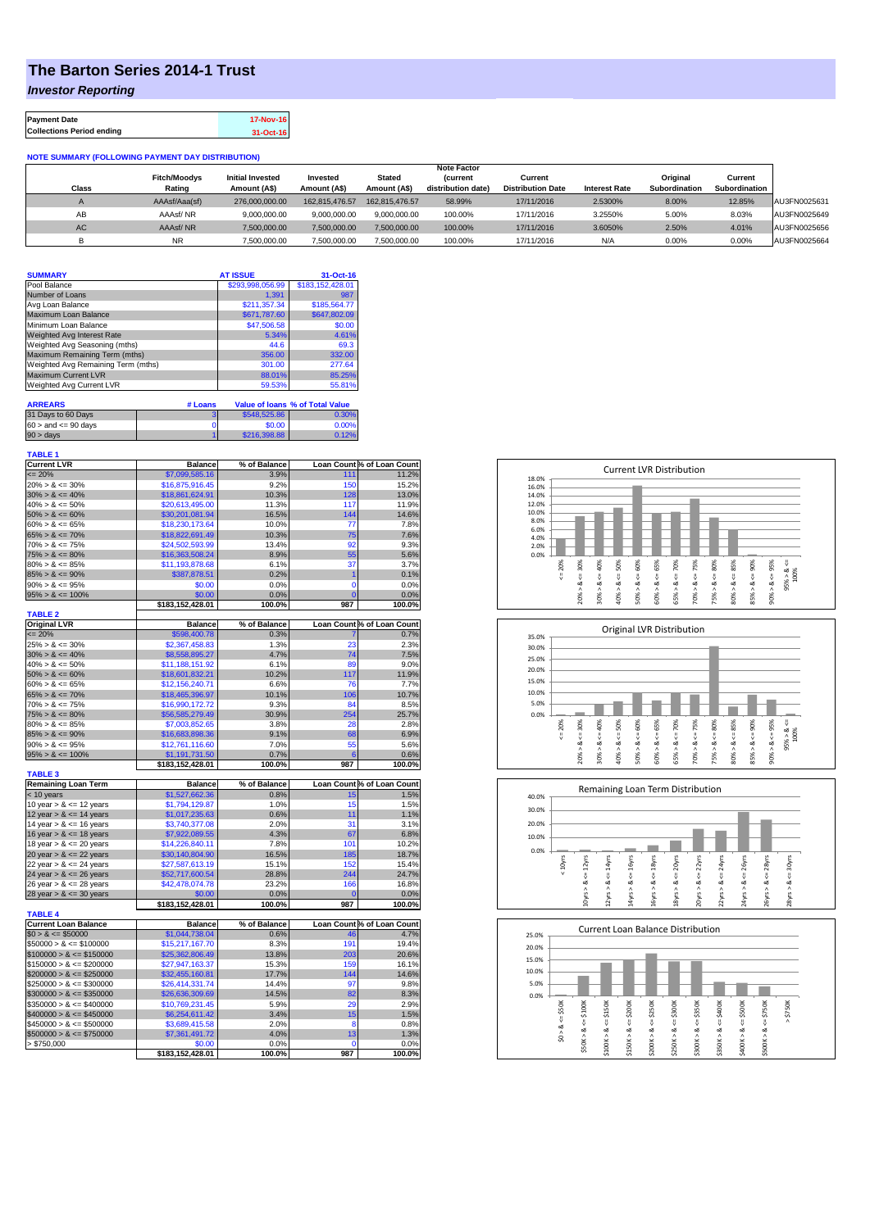## **The Barton Series 2014-1 Trust**

*Investor Reporting*

| <b>Payment Date</b>              | 17-Nov-16 |
|----------------------------------|-----------|
| <b>Collections Period ending</b> | 31-Oct-16 |

## **NOTE SUMMARY (FOLLOWING PAYMENT DAY DISTRIBUTION)**

|              |                               |                                         |                          |                               | <b>Note Factor</b>                   |                                     |                      |                                  |                                 |              |
|--------------|-------------------------------|-----------------------------------------|--------------------------|-------------------------------|--------------------------------------|-------------------------------------|----------------------|----------------------------------|---------------------------------|--------------|
| <b>Class</b> | <b>Fitch/Moodys</b><br>Rating | <b>Initial Invested</b><br>Amount (A\$) | Invested<br>Amount (A\$) | <b>Stated</b><br>Amount (A\$) | <b>Current</b><br>distribution date) | Current<br><b>Distribution Date</b> | <b>Interest Rate</b> | Original<br><b>Subordination</b> | Current<br><b>Subordination</b> |              |
| $\sqrt{2}$   | AAAsf/Aaa(sf)                 | 276,000,000,00                          | 162.815.476.57           | 162.815.476.57                | 58.99%                               | 17/11/2016                          | 2.5300%              | 8.00%                            | 12.85%                          | AU3FN0025631 |
| AB           | AAAsf/NR                      | 9.000.000.00                            | 9.000.000.00             | 9.000.000.00                  | 100.00%                              | 17/11/2016                          | 3.2550%              | 5.00%                            | 8.03%                           | AU3FN0025649 |
| <b>AC</b>    | AAAsf/NR                      | 7.500.000.00                            | 7.500.000.00             | 7.500.000.00                  | 100.00%                              | 17/11/2016                          | 3.6050%              | 2.50%                            | 4.01%                           | AU3FN0025656 |
|              | ΝR                            | 7,500,000.00                            | 7,500,000.00             | 7,500,000.00                  | 100.00%                              | 17/11/2016                          | N/A                  | 0.00%                            | 0.00%                           | AU3FN0025664 |

| <b>SUMMARY</b>                     |         | <b>AT ISSUE</b>          | 31-Oct-16                              |
|------------------------------------|---------|--------------------------|----------------------------------------|
| Pool Balance                       |         | \$293,998,056.99         | \$183,152,428.01                       |
| Number of Loans                    |         | 1.391                    | 987                                    |
| Avg Loan Balance                   |         | \$211.357.34             | \$185,564.77                           |
| Maximum Loan Balance               |         | \$671,787.60             | \$647,802.09                           |
| Minimum Loan Balance               |         | \$47,506.58              | \$0.00                                 |
| <b>Weighted Avg Interest Rate</b>  |         | 5.34%                    | 4.61%                                  |
| Weighted Avg Seasoning (mths)      |         | 44.6                     | 69.3                                   |
| Maximum Remaining Term (mths)      |         | 356.00                   | 332.00                                 |
| Weighted Avg Remaining Term (mths) |         | 301.00                   | 277.64                                 |
| <b>Maximum Current LVR</b>         |         | 88.01%                   | 85.25%                                 |
| Weighted Avg Current LVR           |         | 59.53%                   | 55.81%                                 |
|                                    |         |                          |                                        |
| <b>ARREARS</b>                     | # Loans |                          | <b>Value of loans % of Total Value</b> |
| $\sim$ $\sim$ $\sim$ $\sim$ $\sim$ |         | $A = 10$ $B = 0$ $A = 0$ | A                                      |

| 31 Days to 60 Days        | \$548.525.86 |       |
|---------------------------|--------------|-------|
| $60 >$ and $\leq 90$ days | \$0.00       | 0.00% |
| $90 > \text{days}$        | \$216,398.88 | በ 12% |

| Loan Count % of Loan Count<br>$= 20%$<br>\$7,099,585.16<br>11.2%<br>3.9%<br>111<br>9.2%<br>$20\% > 8 \le 30\%$<br>\$16,875,916.45<br>150<br>15.2%<br>$30\% > 8 \le 40\%$<br>10.3%<br>128<br>\$18,861,624.91<br>13.0%<br>$40\% > 8 \le 50\%$<br>\$20,613,495.00<br>11.3%<br>117<br>11.9%<br>$50\% > 8 \le 60\%$<br>\$30,201,081.94<br>16.5%<br>144<br>14.6%<br>$60\% > 8 \le 65\%$<br>\$18,230,173.64<br>10.0%<br>77<br>7.8%<br>$65\% > 8 \le 70\%$<br>\$18,822,691.49<br>10.3%<br>75<br>7.6%<br>13.4%<br>92<br>$70\% > 8 \le 75\%$<br>\$24,502,593.99<br>9.3%<br>$75\% > 8 \le 80\%$<br>\$16,363,508.24<br>8.9%<br>55<br>5.6%<br>$80\% > 8 \le 85\%$<br>\$11,193,878.68<br>6.1%<br>37<br>3.7%<br>$85\% > 8 \le 90\%$<br>\$387,878.51<br>0.2%<br>1<br>0.1%<br>$90\% > 8 \le 95\%$<br>\$0.00<br>0.0%<br>$\mathbf 0$<br>0.0%<br>$95\% > 8 \le 100\%$<br>\$0.00<br>0.0%<br>$\overline{0}$<br>0.0%<br>\$183,152,428.01<br>100.0%<br>987<br>100.0%<br><b>TABLE 2</b><br><b>Original LVR</b><br>Loan Count % of Loan Count<br><b>Balance</b><br>% of Balance<br>$= 20%$<br>\$598,400.78<br>0.3%<br>0.7%<br>$25\% > 8 \le 30\%$<br>\$2,367,458.83<br>1.3%<br>23<br>2.3%<br>$30\% > 8 \le 40\%$<br>4.7%<br>74<br>\$8,558,895.27<br>7.5%<br>$40\% > 8 \le 50\%$<br>\$11,188,151.92<br>6.1%<br>89<br>9.0%<br>$50\% > 8 \le 60\%$<br>10.2%<br>117<br>\$18,601,832.21<br>11.9%<br>$60\% > 8 \le 65\%$<br>\$12,156,240.71<br>6.6%<br>76<br>7.7%<br>$65\% > 8 \le 70\%$<br>10.7%<br>\$18,465,396.97<br>10.1%<br>106<br>$70\% > 8 \le 75\%$<br>9.3%<br>84<br>8.5%<br>\$16,990,172.72<br>$75\% > 8 \le 80\%$<br>\$56,585,279.49<br>30.9%<br>254<br>25.7%<br>$80\% > 8 \le 85\%$<br>3.8%<br>28<br>\$7,003,852.65<br>2.8%<br>$85\% > 8 \le 90\%$<br>\$16,683,898.36<br>9.1%<br>68<br>6.9%<br>$90\% > 8 \le 95\%$<br>\$12,761,116.60<br>7.0%<br>55<br>5.6%<br>$95\% > 8 \le 100\%$<br>\$1,191,731.50<br>0.7%<br>6<br>0.6%<br>\$183,152,428.01<br>100.0%<br>987<br>100.0%<br><b>TABLE 3</b><br><b>Remaining Loan Term</b><br>Loan Count % of Loan Count<br><b>Balance</b><br>% of Balance<br>\$1,527,662.36<br>0.8%<br>1.5%<br>< 10 years<br>15<br>\$1,794,129.87<br>1.0%<br>15<br>1.5%<br>10 year $> 8 \le 12$ years<br>12 year $> 8 \le 14$ years<br>\$1,017,235.63<br>0.6%<br>1.1%<br>11<br>2.0%<br>31<br>14 year $> 8 \le 16$ years<br>\$3,740,377.08<br>3.1%<br>4.3%<br>16 year $> 8 \le 18$ years<br>\$7,922,089.55<br>67<br>6.8%<br>18 year $> 8 \le 20$ years<br>\$14,226,840.11<br>7.8%<br>101<br>10.2%<br>20 year $> 8 \le 22$ years<br>16.5%<br>185<br>18.7%<br>\$30,140,804.90<br>15.1%<br>152<br>22 year $> 8 \le 24$ years<br>\$27,587,613.19<br>15.4%<br>\$52,717,600.54<br>28.8%<br>244<br>24.7%<br>24 year $> 8 \le 26$ years<br>26 year $> 8 \le 28$ years<br>\$42,478,074.78<br>23.2%<br>166<br>16.8%<br>28 year $> 8 \le 30$ years<br>\$0.00<br>0.0%<br>$\overline{0}$<br>0.0%<br>\$183,152,428.01<br>100.0%<br>987<br>100.0%<br><b>TABLE 4</b><br><b>Current Loan Balance</b><br><b>Balance</b><br>% of Balance<br>Loan Count % of Loan Count<br>\$1,044,738.04<br>$$0 > 8 \le $50000$<br>0.6%<br>4.7%<br>46<br>$$50000 > 8 \le $100000$<br>\$15,217,167.70<br>8.3%<br>191<br>19.4%<br>203<br>$$100000 > 8 \leq $150000$<br>\$25,362,806.49<br>13.8%<br>20.6%<br>$$150000 > 8 \leq $200000$<br>\$27,947,163.37<br>15.3%<br>159<br>16.1%<br>$$200000 > 8 \leq $250000$<br>\$32,455,160.81<br>17.7%<br>144<br>14.6%<br>14.4%<br>97<br>$$250000 > 8 \leq $300000$<br>\$26,414,331.74<br>9.8%<br>$$300000 > 8 \leq $350000$<br>\$26,636,309.69<br>14.5%<br>82<br>$$350000 > 8 \leq $400000$<br>5.9%<br>\$10,769,231.45<br>29<br>2.9%<br>$$400000 > 8 \leq $450000$<br>\$6,254,611.42<br>3.4%<br>15<br>1.5%<br>2.0%<br>$$450000 > 8 \leq $500000$<br>\$3,689,415.58<br>8<br>0.8%<br>$$500000 > 8 \leq $750000$<br>4.0%<br>13<br>\$7,361,491.72<br>1.3%<br>> \$750,000<br>\$0.00<br>0.0%<br>0<br>0.0% | <b>TABLE 1</b><br><b>Current LVR</b> | <b>Balance</b>   | % of Balance |     |        |
|-------------------------------------------------------------------------------------------------------------------------------------------------------------------------------------------------------------------------------------------------------------------------------------------------------------------------------------------------------------------------------------------------------------------------------------------------------------------------------------------------------------------------------------------------------------------------------------------------------------------------------------------------------------------------------------------------------------------------------------------------------------------------------------------------------------------------------------------------------------------------------------------------------------------------------------------------------------------------------------------------------------------------------------------------------------------------------------------------------------------------------------------------------------------------------------------------------------------------------------------------------------------------------------------------------------------------------------------------------------------------------------------------------------------------------------------------------------------------------------------------------------------------------------------------------------------------------------------------------------------------------------------------------------------------------------------------------------------------------------------------------------------------------------------------------------------------------------------------------------------------------------------------------------------------------------------------------------------------------------------------------------------------------------------------------------------------------------------------------------------------------------------------------------------------------------------------------------------------------------------------------------------------------------------------------------------------------------------------------------------------------------------------------------------------------------------------------------------------------------------------------------------------------------------------------------------------------------------------------------------------------------------------------------------------------------------------------------------------------------------------------------------------------------------------------------------------------------------------------------------------------------------------------------------------------------------------------------------------------------------------------------------------------------------------------------------------------------------------------------------------------------------------------------------------------------------------------------------------------------------------------------------------------------------------------------------------------------------------------------------------------------------------------------------------------------------------------------------------------------------------------------------------------------------------------------------------------------------------------------------------------------------------------------------------------------------------------------------------------------------------------------------------------------------------------------------------------------------------------------------------------------------------|--------------------------------------|------------------|--------------|-----|--------|
|                                                                                                                                                                                                                                                                                                                                                                                                                                                                                                                                                                                                                                                                                                                                                                                                                                                                                                                                                                                                                                                                                                                                                                                                                                                                                                                                                                                                                                                                                                                                                                                                                                                                                                                                                                                                                                                                                                                                                                                                                                                                                                                                                                                                                                                                                                                                                                                                                                                                                                                                                                                                                                                                                                                                                                                                                                                                                                                                                                                                                                                                                                                                                                                                                                                                                                                                                                                                                                                                                                                                                                                                                                                                                                                                                                                                                                                                                                 |                                      |                  |              |     |        |
|                                                                                                                                                                                                                                                                                                                                                                                                                                                                                                                                                                                                                                                                                                                                                                                                                                                                                                                                                                                                                                                                                                                                                                                                                                                                                                                                                                                                                                                                                                                                                                                                                                                                                                                                                                                                                                                                                                                                                                                                                                                                                                                                                                                                                                                                                                                                                                                                                                                                                                                                                                                                                                                                                                                                                                                                                                                                                                                                                                                                                                                                                                                                                                                                                                                                                                                                                                                                                                                                                                                                                                                                                                                                                                                                                                                                                                                                                                 |                                      |                  |              |     |        |
|                                                                                                                                                                                                                                                                                                                                                                                                                                                                                                                                                                                                                                                                                                                                                                                                                                                                                                                                                                                                                                                                                                                                                                                                                                                                                                                                                                                                                                                                                                                                                                                                                                                                                                                                                                                                                                                                                                                                                                                                                                                                                                                                                                                                                                                                                                                                                                                                                                                                                                                                                                                                                                                                                                                                                                                                                                                                                                                                                                                                                                                                                                                                                                                                                                                                                                                                                                                                                                                                                                                                                                                                                                                                                                                                                                                                                                                                                                 |                                      |                  |              |     |        |
|                                                                                                                                                                                                                                                                                                                                                                                                                                                                                                                                                                                                                                                                                                                                                                                                                                                                                                                                                                                                                                                                                                                                                                                                                                                                                                                                                                                                                                                                                                                                                                                                                                                                                                                                                                                                                                                                                                                                                                                                                                                                                                                                                                                                                                                                                                                                                                                                                                                                                                                                                                                                                                                                                                                                                                                                                                                                                                                                                                                                                                                                                                                                                                                                                                                                                                                                                                                                                                                                                                                                                                                                                                                                                                                                                                                                                                                                                                 |                                      |                  |              |     |        |
|                                                                                                                                                                                                                                                                                                                                                                                                                                                                                                                                                                                                                                                                                                                                                                                                                                                                                                                                                                                                                                                                                                                                                                                                                                                                                                                                                                                                                                                                                                                                                                                                                                                                                                                                                                                                                                                                                                                                                                                                                                                                                                                                                                                                                                                                                                                                                                                                                                                                                                                                                                                                                                                                                                                                                                                                                                                                                                                                                                                                                                                                                                                                                                                                                                                                                                                                                                                                                                                                                                                                                                                                                                                                                                                                                                                                                                                                                                 |                                      |                  |              |     |        |
|                                                                                                                                                                                                                                                                                                                                                                                                                                                                                                                                                                                                                                                                                                                                                                                                                                                                                                                                                                                                                                                                                                                                                                                                                                                                                                                                                                                                                                                                                                                                                                                                                                                                                                                                                                                                                                                                                                                                                                                                                                                                                                                                                                                                                                                                                                                                                                                                                                                                                                                                                                                                                                                                                                                                                                                                                                                                                                                                                                                                                                                                                                                                                                                                                                                                                                                                                                                                                                                                                                                                                                                                                                                                                                                                                                                                                                                                                                 |                                      |                  |              |     |        |
|                                                                                                                                                                                                                                                                                                                                                                                                                                                                                                                                                                                                                                                                                                                                                                                                                                                                                                                                                                                                                                                                                                                                                                                                                                                                                                                                                                                                                                                                                                                                                                                                                                                                                                                                                                                                                                                                                                                                                                                                                                                                                                                                                                                                                                                                                                                                                                                                                                                                                                                                                                                                                                                                                                                                                                                                                                                                                                                                                                                                                                                                                                                                                                                                                                                                                                                                                                                                                                                                                                                                                                                                                                                                                                                                                                                                                                                                                                 |                                      |                  |              |     |        |
|                                                                                                                                                                                                                                                                                                                                                                                                                                                                                                                                                                                                                                                                                                                                                                                                                                                                                                                                                                                                                                                                                                                                                                                                                                                                                                                                                                                                                                                                                                                                                                                                                                                                                                                                                                                                                                                                                                                                                                                                                                                                                                                                                                                                                                                                                                                                                                                                                                                                                                                                                                                                                                                                                                                                                                                                                                                                                                                                                                                                                                                                                                                                                                                                                                                                                                                                                                                                                                                                                                                                                                                                                                                                                                                                                                                                                                                                                                 |                                      |                  |              |     |        |
|                                                                                                                                                                                                                                                                                                                                                                                                                                                                                                                                                                                                                                                                                                                                                                                                                                                                                                                                                                                                                                                                                                                                                                                                                                                                                                                                                                                                                                                                                                                                                                                                                                                                                                                                                                                                                                                                                                                                                                                                                                                                                                                                                                                                                                                                                                                                                                                                                                                                                                                                                                                                                                                                                                                                                                                                                                                                                                                                                                                                                                                                                                                                                                                                                                                                                                                                                                                                                                                                                                                                                                                                                                                                                                                                                                                                                                                                                                 |                                      |                  |              |     |        |
|                                                                                                                                                                                                                                                                                                                                                                                                                                                                                                                                                                                                                                                                                                                                                                                                                                                                                                                                                                                                                                                                                                                                                                                                                                                                                                                                                                                                                                                                                                                                                                                                                                                                                                                                                                                                                                                                                                                                                                                                                                                                                                                                                                                                                                                                                                                                                                                                                                                                                                                                                                                                                                                                                                                                                                                                                                                                                                                                                                                                                                                                                                                                                                                                                                                                                                                                                                                                                                                                                                                                                                                                                                                                                                                                                                                                                                                                                                 |                                      |                  |              |     |        |
|                                                                                                                                                                                                                                                                                                                                                                                                                                                                                                                                                                                                                                                                                                                                                                                                                                                                                                                                                                                                                                                                                                                                                                                                                                                                                                                                                                                                                                                                                                                                                                                                                                                                                                                                                                                                                                                                                                                                                                                                                                                                                                                                                                                                                                                                                                                                                                                                                                                                                                                                                                                                                                                                                                                                                                                                                                                                                                                                                                                                                                                                                                                                                                                                                                                                                                                                                                                                                                                                                                                                                                                                                                                                                                                                                                                                                                                                                                 |                                      |                  |              |     |        |
|                                                                                                                                                                                                                                                                                                                                                                                                                                                                                                                                                                                                                                                                                                                                                                                                                                                                                                                                                                                                                                                                                                                                                                                                                                                                                                                                                                                                                                                                                                                                                                                                                                                                                                                                                                                                                                                                                                                                                                                                                                                                                                                                                                                                                                                                                                                                                                                                                                                                                                                                                                                                                                                                                                                                                                                                                                                                                                                                                                                                                                                                                                                                                                                                                                                                                                                                                                                                                                                                                                                                                                                                                                                                                                                                                                                                                                                                                                 |                                      |                  |              |     |        |
|                                                                                                                                                                                                                                                                                                                                                                                                                                                                                                                                                                                                                                                                                                                                                                                                                                                                                                                                                                                                                                                                                                                                                                                                                                                                                                                                                                                                                                                                                                                                                                                                                                                                                                                                                                                                                                                                                                                                                                                                                                                                                                                                                                                                                                                                                                                                                                                                                                                                                                                                                                                                                                                                                                                                                                                                                                                                                                                                                                                                                                                                                                                                                                                                                                                                                                                                                                                                                                                                                                                                                                                                                                                                                                                                                                                                                                                                                                 |                                      |                  |              |     |        |
|                                                                                                                                                                                                                                                                                                                                                                                                                                                                                                                                                                                                                                                                                                                                                                                                                                                                                                                                                                                                                                                                                                                                                                                                                                                                                                                                                                                                                                                                                                                                                                                                                                                                                                                                                                                                                                                                                                                                                                                                                                                                                                                                                                                                                                                                                                                                                                                                                                                                                                                                                                                                                                                                                                                                                                                                                                                                                                                                                                                                                                                                                                                                                                                                                                                                                                                                                                                                                                                                                                                                                                                                                                                                                                                                                                                                                                                                                                 |                                      |                  |              |     |        |
|                                                                                                                                                                                                                                                                                                                                                                                                                                                                                                                                                                                                                                                                                                                                                                                                                                                                                                                                                                                                                                                                                                                                                                                                                                                                                                                                                                                                                                                                                                                                                                                                                                                                                                                                                                                                                                                                                                                                                                                                                                                                                                                                                                                                                                                                                                                                                                                                                                                                                                                                                                                                                                                                                                                                                                                                                                                                                                                                                                                                                                                                                                                                                                                                                                                                                                                                                                                                                                                                                                                                                                                                                                                                                                                                                                                                                                                                                                 |                                      |                  |              |     |        |
|                                                                                                                                                                                                                                                                                                                                                                                                                                                                                                                                                                                                                                                                                                                                                                                                                                                                                                                                                                                                                                                                                                                                                                                                                                                                                                                                                                                                                                                                                                                                                                                                                                                                                                                                                                                                                                                                                                                                                                                                                                                                                                                                                                                                                                                                                                                                                                                                                                                                                                                                                                                                                                                                                                                                                                                                                                                                                                                                                                                                                                                                                                                                                                                                                                                                                                                                                                                                                                                                                                                                                                                                                                                                                                                                                                                                                                                                                                 |                                      |                  |              |     |        |
|                                                                                                                                                                                                                                                                                                                                                                                                                                                                                                                                                                                                                                                                                                                                                                                                                                                                                                                                                                                                                                                                                                                                                                                                                                                                                                                                                                                                                                                                                                                                                                                                                                                                                                                                                                                                                                                                                                                                                                                                                                                                                                                                                                                                                                                                                                                                                                                                                                                                                                                                                                                                                                                                                                                                                                                                                                                                                                                                                                                                                                                                                                                                                                                                                                                                                                                                                                                                                                                                                                                                                                                                                                                                                                                                                                                                                                                                                                 |                                      |                  |              |     |        |
|                                                                                                                                                                                                                                                                                                                                                                                                                                                                                                                                                                                                                                                                                                                                                                                                                                                                                                                                                                                                                                                                                                                                                                                                                                                                                                                                                                                                                                                                                                                                                                                                                                                                                                                                                                                                                                                                                                                                                                                                                                                                                                                                                                                                                                                                                                                                                                                                                                                                                                                                                                                                                                                                                                                                                                                                                                                                                                                                                                                                                                                                                                                                                                                                                                                                                                                                                                                                                                                                                                                                                                                                                                                                                                                                                                                                                                                                                                 |                                      |                  |              |     |        |
|                                                                                                                                                                                                                                                                                                                                                                                                                                                                                                                                                                                                                                                                                                                                                                                                                                                                                                                                                                                                                                                                                                                                                                                                                                                                                                                                                                                                                                                                                                                                                                                                                                                                                                                                                                                                                                                                                                                                                                                                                                                                                                                                                                                                                                                                                                                                                                                                                                                                                                                                                                                                                                                                                                                                                                                                                                                                                                                                                                                                                                                                                                                                                                                                                                                                                                                                                                                                                                                                                                                                                                                                                                                                                                                                                                                                                                                                                                 |                                      |                  |              |     |        |
|                                                                                                                                                                                                                                                                                                                                                                                                                                                                                                                                                                                                                                                                                                                                                                                                                                                                                                                                                                                                                                                                                                                                                                                                                                                                                                                                                                                                                                                                                                                                                                                                                                                                                                                                                                                                                                                                                                                                                                                                                                                                                                                                                                                                                                                                                                                                                                                                                                                                                                                                                                                                                                                                                                                                                                                                                                                                                                                                                                                                                                                                                                                                                                                                                                                                                                                                                                                                                                                                                                                                                                                                                                                                                                                                                                                                                                                                                                 |                                      |                  |              |     |        |
|                                                                                                                                                                                                                                                                                                                                                                                                                                                                                                                                                                                                                                                                                                                                                                                                                                                                                                                                                                                                                                                                                                                                                                                                                                                                                                                                                                                                                                                                                                                                                                                                                                                                                                                                                                                                                                                                                                                                                                                                                                                                                                                                                                                                                                                                                                                                                                                                                                                                                                                                                                                                                                                                                                                                                                                                                                                                                                                                                                                                                                                                                                                                                                                                                                                                                                                                                                                                                                                                                                                                                                                                                                                                                                                                                                                                                                                                                                 |                                      |                  |              |     |        |
|                                                                                                                                                                                                                                                                                                                                                                                                                                                                                                                                                                                                                                                                                                                                                                                                                                                                                                                                                                                                                                                                                                                                                                                                                                                                                                                                                                                                                                                                                                                                                                                                                                                                                                                                                                                                                                                                                                                                                                                                                                                                                                                                                                                                                                                                                                                                                                                                                                                                                                                                                                                                                                                                                                                                                                                                                                                                                                                                                                                                                                                                                                                                                                                                                                                                                                                                                                                                                                                                                                                                                                                                                                                                                                                                                                                                                                                                                                 |                                      |                  |              |     |        |
|                                                                                                                                                                                                                                                                                                                                                                                                                                                                                                                                                                                                                                                                                                                                                                                                                                                                                                                                                                                                                                                                                                                                                                                                                                                                                                                                                                                                                                                                                                                                                                                                                                                                                                                                                                                                                                                                                                                                                                                                                                                                                                                                                                                                                                                                                                                                                                                                                                                                                                                                                                                                                                                                                                                                                                                                                                                                                                                                                                                                                                                                                                                                                                                                                                                                                                                                                                                                                                                                                                                                                                                                                                                                                                                                                                                                                                                                                                 |                                      |                  |              |     |        |
|                                                                                                                                                                                                                                                                                                                                                                                                                                                                                                                                                                                                                                                                                                                                                                                                                                                                                                                                                                                                                                                                                                                                                                                                                                                                                                                                                                                                                                                                                                                                                                                                                                                                                                                                                                                                                                                                                                                                                                                                                                                                                                                                                                                                                                                                                                                                                                                                                                                                                                                                                                                                                                                                                                                                                                                                                                                                                                                                                                                                                                                                                                                                                                                                                                                                                                                                                                                                                                                                                                                                                                                                                                                                                                                                                                                                                                                                                                 |                                      |                  |              |     |        |
|                                                                                                                                                                                                                                                                                                                                                                                                                                                                                                                                                                                                                                                                                                                                                                                                                                                                                                                                                                                                                                                                                                                                                                                                                                                                                                                                                                                                                                                                                                                                                                                                                                                                                                                                                                                                                                                                                                                                                                                                                                                                                                                                                                                                                                                                                                                                                                                                                                                                                                                                                                                                                                                                                                                                                                                                                                                                                                                                                                                                                                                                                                                                                                                                                                                                                                                                                                                                                                                                                                                                                                                                                                                                                                                                                                                                                                                                                                 |                                      |                  |              |     |        |
|                                                                                                                                                                                                                                                                                                                                                                                                                                                                                                                                                                                                                                                                                                                                                                                                                                                                                                                                                                                                                                                                                                                                                                                                                                                                                                                                                                                                                                                                                                                                                                                                                                                                                                                                                                                                                                                                                                                                                                                                                                                                                                                                                                                                                                                                                                                                                                                                                                                                                                                                                                                                                                                                                                                                                                                                                                                                                                                                                                                                                                                                                                                                                                                                                                                                                                                                                                                                                                                                                                                                                                                                                                                                                                                                                                                                                                                                                                 |                                      |                  |              |     |        |
|                                                                                                                                                                                                                                                                                                                                                                                                                                                                                                                                                                                                                                                                                                                                                                                                                                                                                                                                                                                                                                                                                                                                                                                                                                                                                                                                                                                                                                                                                                                                                                                                                                                                                                                                                                                                                                                                                                                                                                                                                                                                                                                                                                                                                                                                                                                                                                                                                                                                                                                                                                                                                                                                                                                                                                                                                                                                                                                                                                                                                                                                                                                                                                                                                                                                                                                                                                                                                                                                                                                                                                                                                                                                                                                                                                                                                                                                                                 |                                      |                  |              |     |        |
|                                                                                                                                                                                                                                                                                                                                                                                                                                                                                                                                                                                                                                                                                                                                                                                                                                                                                                                                                                                                                                                                                                                                                                                                                                                                                                                                                                                                                                                                                                                                                                                                                                                                                                                                                                                                                                                                                                                                                                                                                                                                                                                                                                                                                                                                                                                                                                                                                                                                                                                                                                                                                                                                                                                                                                                                                                                                                                                                                                                                                                                                                                                                                                                                                                                                                                                                                                                                                                                                                                                                                                                                                                                                                                                                                                                                                                                                                                 |                                      |                  |              |     |        |
|                                                                                                                                                                                                                                                                                                                                                                                                                                                                                                                                                                                                                                                                                                                                                                                                                                                                                                                                                                                                                                                                                                                                                                                                                                                                                                                                                                                                                                                                                                                                                                                                                                                                                                                                                                                                                                                                                                                                                                                                                                                                                                                                                                                                                                                                                                                                                                                                                                                                                                                                                                                                                                                                                                                                                                                                                                                                                                                                                                                                                                                                                                                                                                                                                                                                                                                                                                                                                                                                                                                                                                                                                                                                                                                                                                                                                                                                                                 |                                      |                  |              |     |        |
|                                                                                                                                                                                                                                                                                                                                                                                                                                                                                                                                                                                                                                                                                                                                                                                                                                                                                                                                                                                                                                                                                                                                                                                                                                                                                                                                                                                                                                                                                                                                                                                                                                                                                                                                                                                                                                                                                                                                                                                                                                                                                                                                                                                                                                                                                                                                                                                                                                                                                                                                                                                                                                                                                                                                                                                                                                                                                                                                                                                                                                                                                                                                                                                                                                                                                                                                                                                                                                                                                                                                                                                                                                                                                                                                                                                                                                                                                                 |                                      |                  |              |     |        |
|                                                                                                                                                                                                                                                                                                                                                                                                                                                                                                                                                                                                                                                                                                                                                                                                                                                                                                                                                                                                                                                                                                                                                                                                                                                                                                                                                                                                                                                                                                                                                                                                                                                                                                                                                                                                                                                                                                                                                                                                                                                                                                                                                                                                                                                                                                                                                                                                                                                                                                                                                                                                                                                                                                                                                                                                                                                                                                                                                                                                                                                                                                                                                                                                                                                                                                                                                                                                                                                                                                                                                                                                                                                                                                                                                                                                                                                                                                 |                                      |                  |              |     |        |
|                                                                                                                                                                                                                                                                                                                                                                                                                                                                                                                                                                                                                                                                                                                                                                                                                                                                                                                                                                                                                                                                                                                                                                                                                                                                                                                                                                                                                                                                                                                                                                                                                                                                                                                                                                                                                                                                                                                                                                                                                                                                                                                                                                                                                                                                                                                                                                                                                                                                                                                                                                                                                                                                                                                                                                                                                                                                                                                                                                                                                                                                                                                                                                                                                                                                                                                                                                                                                                                                                                                                                                                                                                                                                                                                                                                                                                                                                                 |                                      |                  |              |     |        |
|                                                                                                                                                                                                                                                                                                                                                                                                                                                                                                                                                                                                                                                                                                                                                                                                                                                                                                                                                                                                                                                                                                                                                                                                                                                                                                                                                                                                                                                                                                                                                                                                                                                                                                                                                                                                                                                                                                                                                                                                                                                                                                                                                                                                                                                                                                                                                                                                                                                                                                                                                                                                                                                                                                                                                                                                                                                                                                                                                                                                                                                                                                                                                                                                                                                                                                                                                                                                                                                                                                                                                                                                                                                                                                                                                                                                                                                                                                 |                                      |                  |              |     |        |
|                                                                                                                                                                                                                                                                                                                                                                                                                                                                                                                                                                                                                                                                                                                                                                                                                                                                                                                                                                                                                                                                                                                                                                                                                                                                                                                                                                                                                                                                                                                                                                                                                                                                                                                                                                                                                                                                                                                                                                                                                                                                                                                                                                                                                                                                                                                                                                                                                                                                                                                                                                                                                                                                                                                                                                                                                                                                                                                                                                                                                                                                                                                                                                                                                                                                                                                                                                                                                                                                                                                                                                                                                                                                                                                                                                                                                                                                                                 |                                      |                  |              |     |        |
|                                                                                                                                                                                                                                                                                                                                                                                                                                                                                                                                                                                                                                                                                                                                                                                                                                                                                                                                                                                                                                                                                                                                                                                                                                                                                                                                                                                                                                                                                                                                                                                                                                                                                                                                                                                                                                                                                                                                                                                                                                                                                                                                                                                                                                                                                                                                                                                                                                                                                                                                                                                                                                                                                                                                                                                                                                                                                                                                                                                                                                                                                                                                                                                                                                                                                                                                                                                                                                                                                                                                                                                                                                                                                                                                                                                                                                                                                                 |                                      |                  |              |     |        |
|                                                                                                                                                                                                                                                                                                                                                                                                                                                                                                                                                                                                                                                                                                                                                                                                                                                                                                                                                                                                                                                                                                                                                                                                                                                                                                                                                                                                                                                                                                                                                                                                                                                                                                                                                                                                                                                                                                                                                                                                                                                                                                                                                                                                                                                                                                                                                                                                                                                                                                                                                                                                                                                                                                                                                                                                                                                                                                                                                                                                                                                                                                                                                                                                                                                                                                                                                                                                                                                                                                                                                                                                                                                                                                                                                                                                                                                                                                 |                                      |                  |              |     |        |
|                                                                                                                                                                                                                                                                                                                                                                                                                                                                                                                                                                                                                                                                                                                                                                                                                                                                                                                                                                                                                                                                                                                                                                                                                                                                                                                                                                                                                                                                                                                                                                                                                                                                                                                                                                                                                                                                                                                                                                                                                                                                                                                                                                                                                                                                                                                                                                                                                                                                                                                                                                                                                                                                                                                                                                                                                                                                                                                                                                                                                                                                                                                                                                                                                                                                                                                                                                                                                                                                                                                                                                                                                                                                                                                                                                                                                                                                                                 |                                      |                  |              |     |        |
|                                                                                                                                                                                                                                                                                                                                                                                                                                                                                                                                                                                                                                                                                                                                                                                                                                                                                                                                                                                                                                                                                                                                                                                                                                                                                                                                                                                                                                                                                                                                                                                                                                                                                                                                                                                                                                                                                                                                                                                                                                                                                                                                                                                                                                                                                                                                                                                                                                                                                                                                                                                                                                                                                                                                                                                                                                                                                                                                                                                                                                                                                                                                                                                                                                                                                                                                                                                                                                                                                                                                                                                                                                                                                                                                                                                                                                                                                                 |                                      |                  |              |     |        |
|                                                                                                                                                                                                                                                                                                                                                                                                                                                                                                                                                                                                                                                                                                                                                                                                                                                                                                                                                                                                                                                                                                                                                                                                                                                                                                                                                                                                                                                                                                                                                                                                                                                                                                                                                                                                                                                                                                                                                                                                                                                                                                                                                                                                                                                                                                                                                                                                                                                                                                                                                                                                                                                                                                                                                                                                                                                                                                                                                                                                                                                                                                                                                                                                                                                                                                                                                                                                                                                                                                                                                                                                                                                                                                                                                                                                                                                                                                 |                                      |                  |              |     |        |
|                                                                                                                                                                                                                                                                                                                                                                                                                                                                                                                                                                                                                                                                                                                                                                                                                                                                                                                                                                                                                                                                                                                                                                                                                                                                                                                                                                                                                                                                                                                                                                                                                                                                                                                                                                                                                                                                                                                                                                                                                                                                                                                                                                                                                                                                                                                                                                                                                                                                                                                                                                                                                                                                                                                                                                                                                                                                                                                                                                                                                                                                                                                                                                                                                                                                                                                                                                                                                                                                                                                                                                                                                                                                                                                                                                                                                                                                                                 |                                      |                  |              |     |        |
|                                                                                                                                                                                                                                                                                                                                                                                                                                                                                                                                                                                                                                                                                                                                                                                                                                                                                                                                                                                                                                                                                                                                                                                                                                                                                                                                                                                                                                                                                                                                                                                                                                                                                                                                                                                                                                                                                                                                                                                                                                                                                                                                                                                                                                                                                                                                                                                                                                                                                                                                                                                                                                                                                                                                                                                                                                                                                                                                                                                                                                                                                                                                                                                                                                                                                                                                                                                                                                                                                                                                                                                                                                                                                                                                                                                                                                                                                                 |                                      |                  |              |     |        |
|                                                                                                                                                                                                                                                                                                                                                                                                                                                                                                                                                                                                                                                                                                                                                                                                                                                                                                                                                                                                                                                                                                                                                                                                                                                                                                                                                                                                                                                                                                                                                                                                                                                                                                                                                                                                                                                                                                                                                                                                                                                                                                                                                                                                                                                                                                                                                                                                                                                                                                                                                                                                                                                                                                                                                                                                                                                                                                                                                                                                                                                                                                                                                                                                                                                                                                                                                                                                                                                                                                                                                                                                                                                                                                                                                                                                                                                                                                 |                                      |                  |              |     |        |
|                                                                                                                                                                                                                                                                                                                                                                                                                                                                                                                                                                                                                                                                                                                                                                                                                                                                                                                                                                                                                                                                                                                                                                                                                                                                                                                                                                                                                                                                                                                                                                                                                                                                                                                                                                                                                                                                                                                                                                                                                                                                                                                                                                                                                                                                                                                                                                                                                                                                                                                                                                                                                                                                                                                                                                                                                                                                                                                                                                                                                                                                                                                                                                                                                                                                                                                                                                                                                                                                                                                                                                                                                                                                                                                                                                                                                                                                                                 |                                      |                  |              |     |        |
|                                                                                                                                                                                                                                                                                                                                                                                                                                                                                                                                                                                                                                                                                                                                                                                                                                                                                                                                                                                                                                                                                                                                                                                                                                                                                                                                                                                                                                                                                                                                                                                                                                                                                                                                                                                                                                                                                                                                                                                                                                                                                                                                                                                                                                                                                                                                                                                                                                                                                                                                                                                                                                                                                                                                                                                                                                                                                                                                                                                                                                                                                                                                                                                                                                                                                                                                                                                                                                                                                                                                                                                                                                                                                                                                                                                                                                                                                                 |                                      |                  |              |     |        |
|                                                                                                                                                                                                                                                                                                                                                                                                                                                                                                                                                                                                                                                                                                                                                                                                                                                                                                                                                                                                                                                                                                                                                                                                                                                                                                                                                                                                                                                                                                                                                                                                                                                                                                                                                                                                                                                                                                                                                                                                                                                                                                                                                                                                                                                                                                                                                                                                                                                                                                                                                                                                                                                                                                                                                                                                                                                                                                                                                                                                                                                                                                                                                                                                                                                                                                                                                                                                                                                                                                                                                                                                                                                                                                                                                                                                                                                                                                 |                                      |                  |              |     |        |
|                                                                                                                                                                                                                                                                                                                                                                                                                                                                                                                                                                                                                                                                                                                                                                                                                                                                                                                                                                                                                                                                                                                                                                                                                                                                                                                                                                                                                                                                                                                                                                                                                                                                                                                                                                                                                                                                                                                                                                                                                                                                                                                                                                                                                                                                                                                                                                                                                                                                                                                                                                                                                                                                                                                                                                                                                                                                                                                                                                                                                                                                                                                                                                                                                                                                                                                                                                                                                                                                                                                                                                                                                                                                                                                                                                                                                                                                                                 |                                      |                  |              |     |        |
|                                                                                                                                                                                                                                                                                                                                                                                                                                                                                                                                                                                                                                                                                                                                                                                                                                                                                                                                                                                                                                                                                                                                                                                                                                                                                                                                                                                                                                                                                                                                                                                                                                                                                                                                                                                                                                                                                                                                                                                                                                                                                                                                                                                                                                                                                                                                                                                                                                                                                                                                                                                                                                                                                                                                                                                                                                                                                                                                                                                                                                                                                                                                                                                                                                                                                                                                                                                                                                                                                                                                                                                                                                                                                                                                                                                                                                                                                                 |                                      |                  |              |     |        |
|                                                                                                                                                                                                                                                                                                                                                                                                                                                                                                                                                                                                                                                                                                                                                                                                                                                                                                                                                                                                                                                                                                                                                                                                                                                                                                                                                                                                                                                                                                                                                                                                                                                                                                                                                                                                                                                                                                                                                                                                                                                                                                                                                                                                                                                                                                                                                                                                                                                                                                                                                                                                                                                                                                                                                                                                                                                                                                                                                                                                                                                                                                                                                                                                                                                                                                                                                                                                                                                                                                                                                                                                                                                                                                                                                                                                                                                                                                 |                                      |                  |              |     |        |
|                                                                                                                                                                                                                                                                                                                                                                                                                                                                                                                                                                                                                                                                                                                                                                                                                                                                                                                                                                                                                                                                                                                                                                                                                                                                                                                                                                                                                                                                                                                                                                                                                                                                                                                                                                                                                                                                                                                                                                                                                                                                                                                                                                                                                                                                                                                                                                                                                                                                                                                                                                                                                                                                                                                                                                                                                                                                                                                                                                                                                                                                                                                                                                                                                                                                                                                                                                                                                                                                                                                                                                                                                                                                                                                                                                                                                                                                                                 |                                      |                  |              |     |        |
|                                                                                                                                                                                                                                                                                                                                                                                                                                                                                                                                                                                                                                                                                                                                                                                                                                                                                                                                                                                                                                                                                                                                                                                                                                                                                                                                                                                                                                                                                                                                                                                                                                                                                                                                                                                                                                                                                                                                                                                                                                                                                                                                                                                                                                                                                                                                                                                                                                                                                                                                                                                                                                                                                                                                                                                                                                                                                                                                                                                                                                                                                                                                                                                                                                                                                                                                                                                                                                                                                                                                                                                                                                                                                                                                                                                                                                                                                                 |                                      |                  |              |     |        |
|                                                                                                                                                                                                                                                                                                                                                                                                                                                                                                                                                                                                                                                                                                                                                                                                                                                                                                                                                                                                                                                                                                                                                                                                                                                                                                                                                                                                                                                                                                                                                                                                                                                                                                                                                                                                                                                                                                                                                                                                                                                                                                                                                                                                                                                                                                                                                                                                                                                                                                                                                                                                                                                                                                                                                                                                                                                                                                                                                                                                                                                                                                                                                                                                                                                                                                                                                                                                                                                                                                                                                                                                                                                                                                                                                                                                                                                                                                 |                                      |                  |              |     |        |
|                                                                                                                                                                                                                                                                                                                                                                                                                                                                                                                                                                                                                                                                                                                                                                                                                                                                                                                                                                                                                                                                                                                                                                                                                                                                                                                                                                                                                                                                                                                                                                                                                                                                                                                                                                                                                                                                                                                                                                                                                                                                                                                                                                                                                                                                                                                                                                                                                                                                                                                                                                                                                                                                                                                                                                                                                                                                                                                                                                                                                                                                                                                                                                                                                                                                                                                                                                                                                                                                                                                                                                                                                                                                                                                                                                                                                                                                                                 |                                      |                  |              |     |        |
|                                                                                                                                                                                                                                                                                                                                                                                                                                                                                                                                                                                                                                                                                                                                                                                                                                                                                                                                                                                                                                                                                                                                                                                                                                                                                                                                                                                                                                                                                                                                                                                                                                                                                                                                                                                                                                                                                                                                                                                                                                                                                                                                                                                                                                                                                                                                                                                                                                                                                                                                                                                                                                                                                                                                                                                                                                                                                                                                                                                                                                                                                                                                                                                                                                                                                                                                                                                                                                                                                                                                                                                                                                                                                                                                                                                                                                                                                                 |                                      |                  |              |     | 8.3%   |
|                                                                                                                                                                                                                                                                                                                                                                                                                                                                                                                                                                                                                                                                                                                                                                                                                                                                                                                                                                                                                                                                                                                                                                                                                                                                                                                                                                                                                                                                                                                                                                                                                                                                                                                                                                                                                                                                                                                                                                                                                                                                                                                                                                                                                                                                                                                                                                                                                                                                                                                                                                                                                                                                                                                                                                                                                                                                                                                                                                                                                                                                                                                                                                                                                                                                                                                                                                                                                                                                                                                                                                                                                                                                                                                                                                                                                                                                                                 |                                      |                  |              |     |        |
|                                                                                                                                                                                                                                                                                                                                                                                                                                                                                                                                                                                                                                                                                                                                                                                                                                                                                                                                                                                                                                                                                                                                                                                                                                                                                                                                                                                                                                                                                                                                                                                                                                                                                                                                                                                                                                                                                                                                                                                                                                                                                                                                                                                                                                                                                                                                                                                                                                                                                                                                                                                                                                                                                                                                                                                                                                                                                                                                                                                                                                                                                                                                                                                                                                                                                                                                                                                                                                                                                                                                                                                                                                                                                                                                                                                                                                                                                                 |                                      |                  |              |     |        |
|                                                                                                                                                                                                                                                                                                                                                                                                                                                                                                                                                                                                                                                                                                                                                                                                                                                                                                                                                                                                                                                                                                                                                                                                                                                                                                                                                                                                                                                                                                                                                                                                                                                                                                                                                                                                                                                                                                                                                                                                                                                                                                                                                                                                                                                                                                                                                                                                                                                                                                                                                                                                                                                                                                                                                                                                                                                                                                                                                                                                                                                                                                                                                                                                                                                                                                                                                                                                                                                                                                                                                                                                                                                                                                                                                                                                                                                                                                 |                                      |                  |              |     |        |
|                                                                                                                                                                                                                                                                                                                                                                                                                                                                                                                                                                                                                                                                                                                                                                                                                                                                                                                                                                                                                                                                                                                                                                                                                                                                                                                                                                                                                                                                                                                                                                                                                                                                                                                                                                                                                                                                                                                                                                                                                                                                                                                                                                                                                                                                                                                                                                                                                                                                                                                                                                                                                                                                                                                                                                                                                                                                                                                                                                                                                                                                                                                                                                                                                                                                                                                                                                                                                                                                                                                                                                                                                                                                                                                                                                                                                                                                                                 |                                      |                  |              |     |        |
|                                                                                                                                                                                                                                                                                                                                                                                                                                                                                                                                                                                                                                                                                                                                                                                                                                                                                                                                                                                                                                                                                                                                                                                                                                                                                                                                                                                                                                                                                                                                                                                                                                                                                                                                                                                                                                                                                                                                                                                                                                                                                                                                                                                                                                                                                                                                                                                                                                                                                                                                                                                                                                                                                                                                                                                                                                                                                                                                                                                                                                                                                                                                                                                                                                                                                                                                                                                                                                                                                                                                                                                                                                                                                                                                                                                                                                                                                                 |                                      |                  |              |     |        |
|                                                                                                                                                                                                                                                                                                                                                                                                                                                                                                                                                                                                                                                                                                                                                                                                                                                                                                                                                                                                                                                                                                                                                                                                                                                                                                                                                                                                                                                                                                                                                                                                                                                                                                                                                                                                                                                                                                                                                                                                                                                                                                                                                                                                                                                                                                                                                                                                                                                                                                                                                                                                                                                                                                                                                                                                                                                                                                                                                                                                                                                                                                                                                                                                                                                                                                                                                                                                                                                                                                                                                                                                                                                                                                                                                                                                                                                                                                 |                                      | \$183,152,428.01 | 100.0%       | 987 | 100.0% |